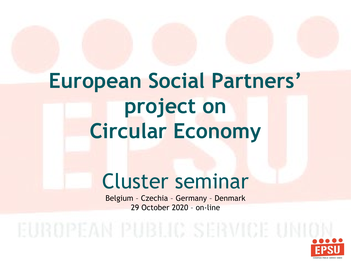# **European Social Partners' project on Circular Economy**

#### Cluster seminar

Belgium – Czechia – Germany – Denmark 29 October 2020 – on-line

EUROPEAN PUBLIC SERVICE UNIO

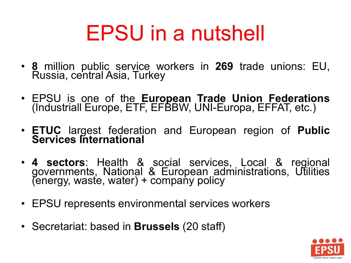# EPSU in a nutshell

- **<sup>8</sup>** million public service workers in **<sup>269</sup>** trade unions: EU, Russia, central Asia, Turkey
- EPSU is one of the **European Trade Union Federations** (Industriall Europe, ETF, EFBBW, UNI-Europa, EFFAT, etc.)
- **ETUC** largest federation and European region of **Public Services International**
- **<sup>4</sup> sectors**: Health & social services, Local & regional governments, National & European administrations, Utilities (energy, waste, water) + company policy
- EPSU represents environmental services workers
- Secretariat: based in **Brussels** (20 staff)

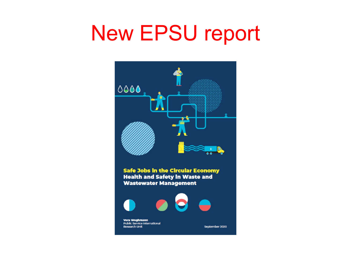## New EPSU report

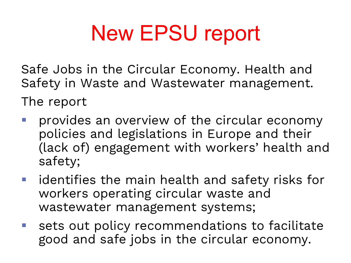# New EPSU report

Safe Jobs in the Circular Economy. Health and Safety in Waste and Wastewater management.

The report

- provides an overview of the circular economy policies and legislations in Europe and their (lack of) engagement with workers' health and safety;
- $\blacksquare$  identifies the main health and safety risks for workers operating circular waste and wastewater management systems;
- sets out policy recommendations to facilitate good and safe jobs in the circular economy.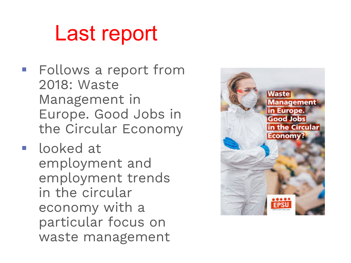## Last report

- **Follows a report from** 2018: Waste Management in Europe. Good Jobs in the Circular Economy
- **I** looked at employment and employment trends in the circular economy with a particular focus on waste management

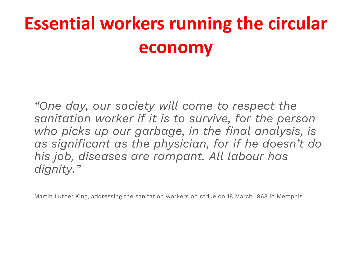#### **Essential workers running the circular economy**

*"One day, our society will come to respect the sanitation worker if it is to survive, for the person who picks up our garbage, in the final analysis, is as significant as the physician, for if he doesn't do his job, diseases are rampant. All labour has dignity."*

Martin Luther King, addressing the sanitation workers on strike on 18 March 1968 in Memphis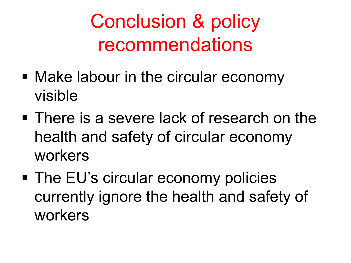## Conclusion & policy recommendations

- Make labour in the circular economy visible
- **There is a severe lack of research on the** health and safety of circular economy workers
- The EU's circular economy policies currently ignore the health and safety of workers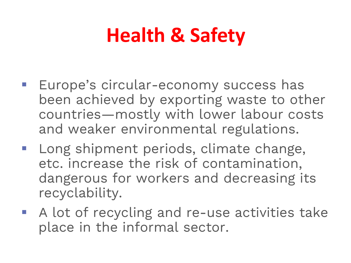## **Health & Safety**

- Europe's circular-economy success has been achieved by exporting waste to other countries—mostly with lower labour costs and weaker environmental regulations.
- **Long shipment periods, climate change,** etc. increase the risk of contamination, dangerous for workers and decreasing its recyclability.
- A lot of recycling and re-use activities take place in the informal sector.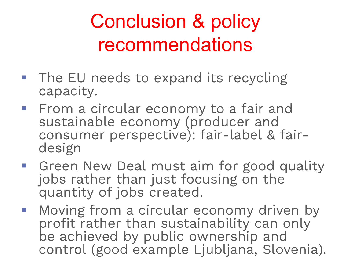## Conclusion & policy recommendations

- **The EU needs to expand its recycling** capacity.
- **Firm a circular economy to a fair and** sustainable economy (producer and consumer perspective): fair-label & fair- design
- **Green New Deal must aim for good quality** jobs rather than just focusing on the quantity of jobs created.
- **Moving from a circular economy driven by** profit rather than sustainability can only be achieved by public ownership and control (good example Ljubljana, Slovenia).